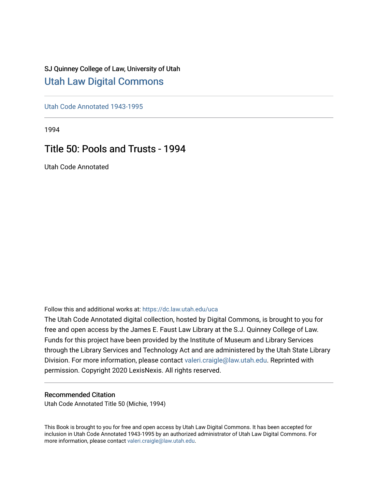## SJ Quinney College of Law, University of Utah [Utah Law Digital Commons](https://dc.law.utah.edu/)

[Utah Code Annotated 1943-1995](https://dc.law.utah.edu/uca) 

1994

# Title 50: Pools and Trusts - 1994

Utah Code Annotated

Follow this and additional works at: [https://dc.law.utah.edu/uca](https://dc.law.utah.edu/uca?utm_source=dc.law.utah.edu%2Fuca%2F242&utm_medium=PDF&utm_campaign=PDFCoverPages)

The Utah Code Annotated digital collection, hosted by Digital Commons, is brought to you for free and open access by the James E. Faust Law Library at the S.J. Quinney College of Law. Funds for this project have been provided by the Institute of Museum and Library Services through the Library Services and Technology Act and are administered by the Utah State Library Division. For more information, please contact [valeri.craigle@law.utah.edu.](mailto:valeri.craigle@law.utah.edu) Reprinted with permission. Copyright 2020 LexisNexis. All rights reserved.

### Recommended Citation

Utah Code Annotated Title 50 (Michie, 1994)

This Book is brought to you for free and open access by Utah Law Digital Commons. It has been accepted for inclusion in Utah Code Annotated 1943-1995 by an authorized administrator of Utah Law Digital Commons. For more information, please contact [valeri.craigle@law.utah.edu.](mailto:valeri.craigle@law.utah.edu)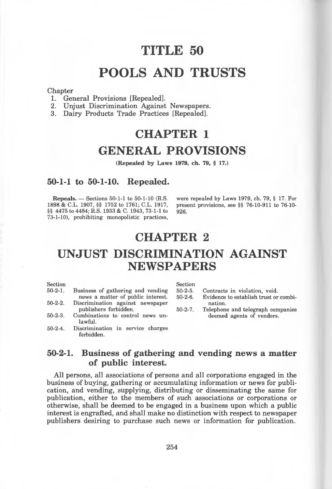# **TITLE 50**

# **POOLS AND TRUSTS**

#### **Chapter**

- 1. General Provisions [Repealed].
- 2. Unjust Discrimination Against Newspapers.
- 3. Dairy Products Trade Practices [Repealed].

# **CHAPTER 1 GENERAL PROVISIONS**

**(Repealed by Laws 1979, ch. 79,** § **17.)** 

### **50-1-1 to 50-1-10. Repealed.**

**Repeals.** - Sections 50-1-1 to 50-1-10 (R.S. 1898 & C.L. 1907, §§ 1752 to 1761; C.L. 1917, §§ 4475 to 4484; R.S. 1933 & C. 1943, 73-1-1 to 73-1-10), prohibiting monopolistic practices,

were repealed by Laws 1979, ch. 79, § 17. For present provisions, see §§ 76-10-911 to 76-10- 926.

# **CHAPTER 2**

# **UNJUST DISCRIMINATION AGAINST NEWSPAPERS**

| $\operatorname{Section}$ |                                                 | Section   |                                       |
|--------------------------|-------------------------------------------------|-----------|---------------------------------------|
| $50-2-1.$                | Business of gathering and vending               | $50-2-5.$ | Contracts in violation, void.         |
|                          | news a matter of public interest.               | $50-2-6.$ | Evidence to establish trust or combi- |
| $50 - 2 - 2.$            | Discrimination against newspaper                |           | nation.                               |
|                          | publishers forbidden.                           | $50-2-7.$ | Telephone and telegraph companies     |
| $50 - 2 - 3$ .           | Combinations to control news un-<br>lawful.     |           | deemed agents of vendors.             |
| $50-2-4.$                | Discrimination in service charges<br>forbidden. |           |                                       |
|                          |                                                 |           |                                       |

### **50-2-1. Business of gathering and vending news a matter of public interest.**

All persons, all associations of persons and all corporations engaged in the business of buying, gathering or accumulating information or news for publication, and vending, supplying, distributing or disseminating the same for publication, either to the members of such associations or corporations or otherwise, shall be deemed to be engaged in a business upon which a public interest is engrafted, and shall make no distinction with respect to newspaper publishers desiring to purchase such news or information for publication.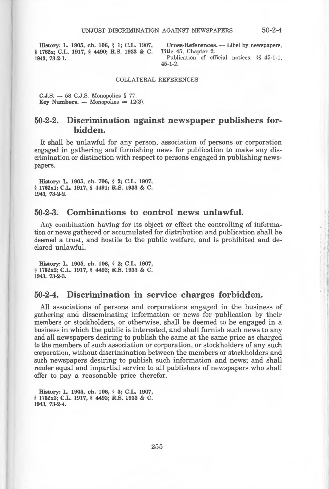**History: L. 1905, ch. 106,** § **l; C.L. 1907,**  § **1762x; C.L. 1917,** § **4490; R.S. 1933** & **C. 1943, 73-2-1.** 

Cross-References. - Libel by newspapers, Title 45, Chapter 2. Publication of official notices, §§ 45-1-1, 45-1-2.

#### COLLATERAL REFERENCES

**C.J.S.** - 58 C.J.S. Monopolies § 77. **Key Numbers.** - Monopolies  $\approx$  12(3).

### **50-2-2. Discrimination against newspaper publishers forbidden.**

It shall be unlawful for any person, association of persons or corporation engaged in gathering and furnishing news for publication to make any discrimination or distinction with respect to persons engaged in publishing newspapers.

**History: L. 1905, ch. 706,** § **2; C.L. 1907,**  § **1762xl; C.L. 1917,** § **4491; R.S. 1933** & **C. 1943, 73-2-2.** 

#### 50-2-3. Combinations to control news unlawful.

Any combination having for its object or effect the controlling of information or news gathered or accumulated for distribution and publication shall be deemed a trust, and hostile to the public welfare, and is prohibited and declared unlawful.

History: L. 1905, ch. 106, § 2; C.L. 1907, § 1762x2; C.L. 1917, § 4492; R.S. 1933 & C. 1943, 73-2-3.

### **50-2-4. Discrimination** in **service charges forbidden.**

All associations of persons and corporations engaged in the business of gathering and disseminating information or news for publication by their members or stockholders, or otherwise, shall be deemed to be engaged in a business in which the public is interested, and shall furnish such news to any and all newspapers desiring to publish the same at the same price as charged to the members of such association or corporation, or stockholders of any such corporation, without discrimination between the members or stockholders and such newspapers desiring to publish such information and news; and shall render equal and impartial service to all publishers of newspapers who shall offer to pay a reasonable price therefor.

History: L. 1905, ch. 106, § 3; C.L. 1907, § 1762x3; C.L. 1917, § 4493; R.S. 1933 & C. 1943, 73-2-4.